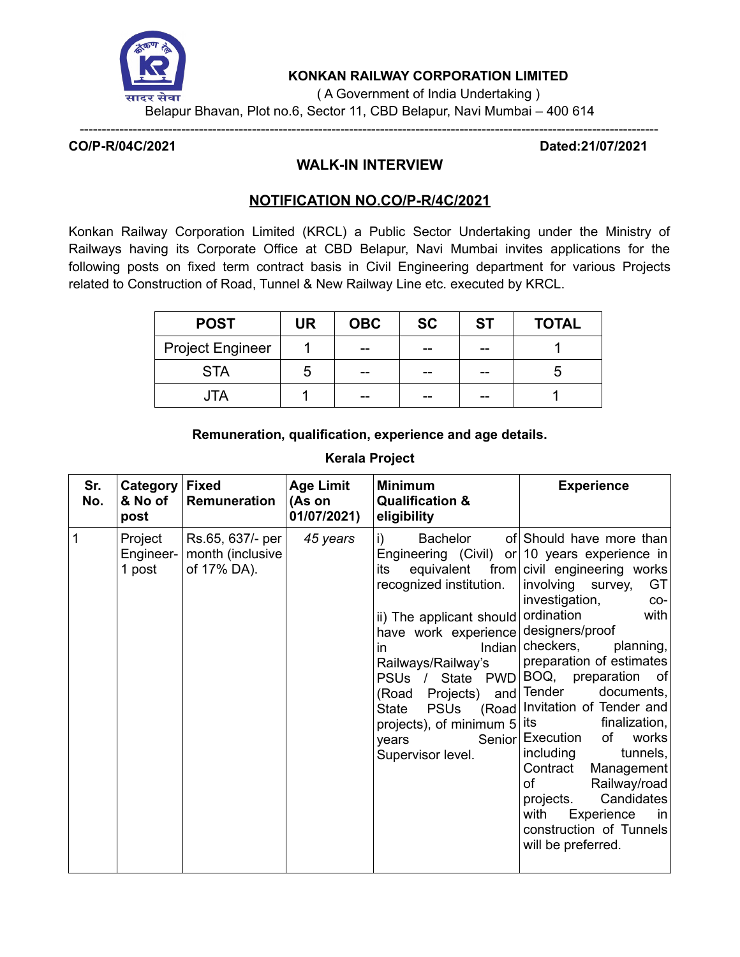

**KONKAN RAILWAY CORPORATION LIMITED**

( A Government of India Undertaking )

Belapur Bhavan, Plot no.6, Sector 11, CBD Belapur, Navi Mumbai – 400 614

-----------------------------------------------------------------------------------------------------------------------------------

**CO/P-R/04C/2021 Dated:21/07/2021**

# **WALK-IN INTERVIEW**

# **NOTIFICATION NO.CO/P-R/4C/2021**

Konkan Railway Corporation Limited (KRCL) a Public Sector Undertaking under the Ministry of Railways having its Corporate Office at CBD Belapur, Navi Mumbai invites applications for the following posts on fixed term contract basis in Civil Engineering department for various Projects related to Construction of Road, Tunnel & New Railway Line etc. executed by KRCL.

| <b>POST</b>             | UR | <b>OBC</b> | <b>SC</b> | <b>ST</b> | <b>TOTAL</b> |
|-------------------------|----|------------|-----------|-----------|--------------|
| <b>Project Engineer</b> |    | --         | --        | --        |              |
| <b>STA</b>              | .h | --         | --        | --        |              |
| JIA                     |    | --         | --        | --        |              |

# **Remuneration, qualification, experience and age details.**

# **Kerala Project**

| Sr.<br>No.     | Category<br>& No of<br>post    | <b>Fixed</b><br>Remuneration                        | <b>Age Limit</b><br>(As on<br>01/07/2021) | <b>Minimum</b><br><b>Qualification &amp;</b><br>eligibility                                                                                                                                                                                                                                                           | <b>Experience</b>                                                                                                                                                                                                                                                                                                                                                                                                                                                                                                                                    |
|----------------|--------------------------------|-----------------------------------------------------|-------------------------------------------|-----------------------------------------------------------------------------------------------------------------------------------------------------------------------------------------------------------------------------------------------------------------------------------------------------------------------|------------------------------------------------------------------------------------------------------------------------------------------------------------------------------------------------------------------------------------------------------------------------------------------------------------------------------------------------------------------------------------------------------------------------------------------------------------------------------------------------------------------------------------------------------|
| $\overline{1}$ | Project<br>Engineer-<br>1 post | Rs.65, 637/- per<br>month (inclusive<br>of 17% DA). | 45 years                                  | Bachelor<br>i)<br>its<br>equivalent<br>recognized institution.<br>ii) The applicant should ordination<br>have work experience designers/proof<br>in<br>Railways/Railway's<br>PSUs / State PWD<br>Projects) and Tender<br>(Road<br><b>PSUs</b><br>State<br>projects), of minimum $5$ its<br>years<br>Supervisor level. | of Should have more than<br>Engineering (Civil) or 10 years experience in<br>from civil engineering works<br>involving survey,<br>GT<br>investigation,<br>$CO-$<br>with<br>Indian checkers,<br>planning,<br>preparation of estimates<br>BOQ, preparation<br>of<br>documents,<br>(Road Invitation of Tender and<br>finalization,<br>of<br>Senior Execution<br>works<br>including<br>tunnels,<br>Contract<br>Management<br>Railway/road<br>οf<br>Candidates<br>projects.<br>with<br>Experience<br>in.<br>construction of Tunnels<br>will be preferred. |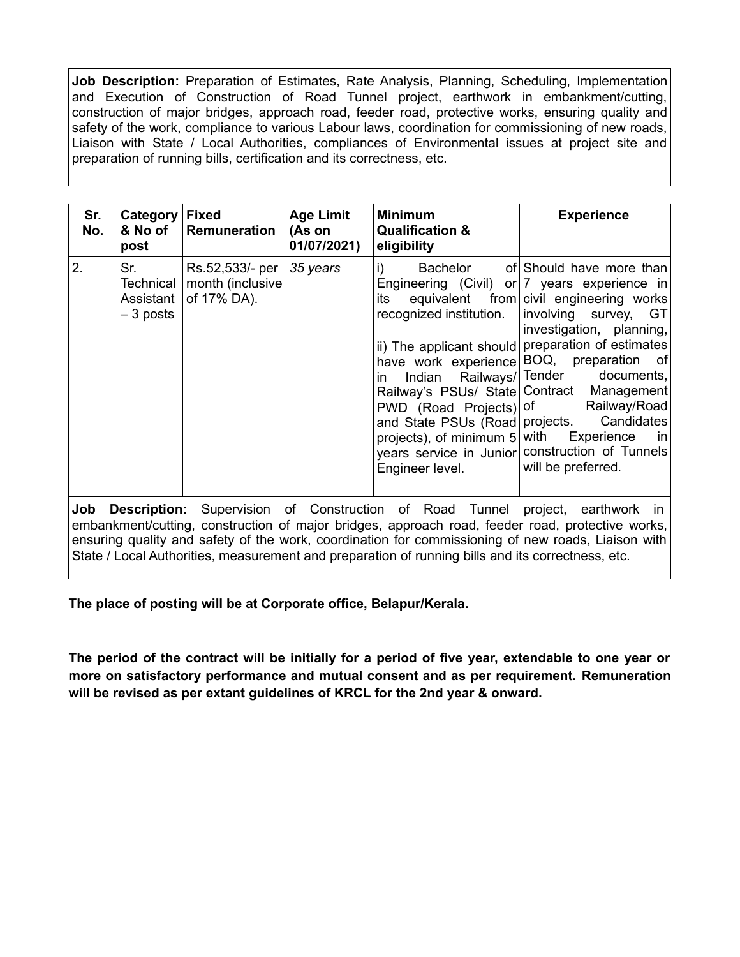**Job Description:** Preparation of Estimates, Rate Analysis, Planning, Scheduling, Implementation and Execution of Construction of Road Tunnel project, earthwork in embankment/cutting, construction of major bridges, approach road, feeder road, protective works, ensuring quality and safety of the work, compliance to various Labour laws, coordination for commissioning of new roads, Liaison with State / Local Authorities, compliances of Environmental issues at project site and preparation of running bills, certification and its correctness, etc.

| Sr.<br>No.                                                                                                                                                                                      | Category<br>& No of<br>post                | <b>Fixed</b><br><b>Remuneration</b>                | <b>Age Limit</b><br>(As on<br>01/07/2021) | <b>Minimum</b><br><b>Qualification &amp;</b><br>eligibility                                                                                                      | <b>Experience</b>                                                                                                                                                                                                                                                                                                                                                                                                                                                                               |  |
|-------------------------------------------------------------------------------------------------------------------------------------------------------------------------------------------------|--------------------------------------------|----------------------------------------------------|-------------------------------------------|------------------------------------------------------------------------------------------------------------------------------------------------------------------|-------------------------------------------------------------------------------------------------------------------------------------------------------------------------------------------------------------------------------------------------------------------------------------------------------------------------------------------------------------------------------------------------------------------------------------------------------------------------------------------------|--|
| 2.                                                                                                                                                                                              | Sr.<br>Technical<br>Assistant<br>– 3 posts | Rs.52,533/- per<br>month (inclusive<br>of 17% DA). | 35 years                                  | i)<br>its<br>recognized institution.<br>Indian Railways/Tender<br>in.<br>PWD (Road Projects) of<br>projects), of minimum $5 $ with Experience<br>Engineer level. | Bachelor of Should have more than<br>Engineering (Civil) or  7 years experience in<br>equivalent from civil engineering works<br>involving survey, GT<br>investigation, planning,<br>ii) The applicant should preparation of estimates<br>have work experience BOQ, preparation of<br>documents,<br>Railway's PSUs/ State   Contract Management  <br>Railway/Road<br>and State PSUs (Road   projects. Candidates<br>in<br>years service in Junior construction of Tunnels<br>will be preferred. |  |
| <b>Description:</b> Supervision of Construction of Road Tunnel project, earthwork in<br>Job<br>embankment/cutting, construction of major bridges, approach road, feeder road, protective works, |                                            |                                                    |                                           |                                                                                                                                                                  |                                                                                                                                                                                                                                                                                                                                                                                                                                                                                                 |  |

ensuring quality and safety of the work, coordination for commissioning of new roads, Liaison with State / Local Authorities, measurement and preparation of running bills and its correctness, etc.

**The place of posting will be at Corporate office, Belapur/Kerala.**

**The period of the contract will be initially for a period of five year, extendable to one year or more on satisfactory performance and mutual consent and as per requirement. Remuneration will be revised as per extant guidelines of KRCL for the 2nd year & onward.**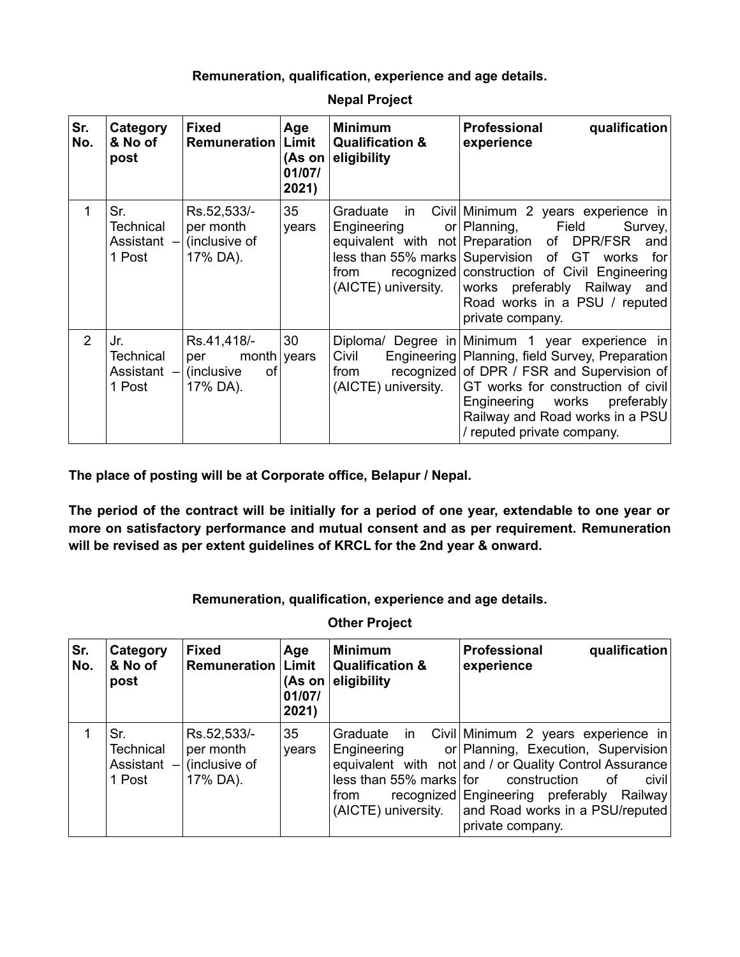### **Remuneration, qualification, experience and age details.**

| Sr.<br>No.     | Category<br>& No of<br>post                      | <b>Fixed</b><br><b>Remuneration</b>                                 | Age<br>Limit<br>(As on<br>01/07/<br>2021) | <b>Minimum</b><br><b>Qualification &amp;</b><br>eligibility                                                          | <b>Professional</b><br>qualification<br>experience                                                                                                                                                                                                                                         |
|----------------|--------------------------------------------------|---------------------------------------------------------------------|-------------------------------------------|----------------------------------------------------------------------------------------------------------------------|--------------------------------------------------------------------------------------------------------------------------------------------------------------------------------------------------------------------------------------------------------------------------------------------|
| 1              | Sr.<br><b>Technical</b><br>Assistant -<br>1 Post | Rs.52,533/-<br>per month<br>(inclusive of<br>17% DA).               | 35<br>years                               | Graduate<br>- in<br>Engineering<br>equivalent with<br>less than 55% marks Supervision<br>from<br>(AICTE) university. | Civil Minimum 2 years experience in<br>Field<br>or Planning,<br>Survey,<br>not Preparation<br>DPR/FSR<br>of<br>and<br>GT.<br>of<br>works<br>for<br>recognized construction of Civil Engineering<br>works preferably Railway<br>and<br>Road works in a PSU / reputed<br>private company.    |
| $\overline{2}$ | Jr.<br><b>Technical</b><br>Assistant -<br>1 Post | Rs.41,418/-<br>month<br>per<br><b>of</b><br>(inclusive)<br>17% DA). | 30<br>years                               | Civil<br>from<br>(AICTE) university.                                                                                 | Diploma/ Degree in Minimum 1 year experience in<br>Engineering Planning, field Survey, Preparation<br>recognized of DPR / FSR and Supervision of<br>GT works for construction of civil<br>Engineering works<br>preferably<br>Railway and Road works in a PSU<br>/ reputed private company. |

**Nepal Project**

**The place of posting will be at Corporate office, Belapur / Nepal.**

**The period of the contract will be initially for a period of one year, extendable to one year or more on satisfactory performance and mutual consent and as per requirement. Remuneration will be revised as per extent guidelines of KRCL for the 2nd year & onward.**

### **Remuneration, qualification, experience and age details.**

**Sr. No. Category & No of post Fixed Remuneration Age Limit (As on eligibility 01/07/ 2021) Minimum Qualification & Professional qualification experience** 1  $\vert$  Sr. **Technical** Assistant – 1 Post Rs.52,533/ per month (inclusive of 17% DA). 35 years Graduate in Engineering equivalent with not and / or Quality Control Assurance less than 55% marks from recognized Engineering preferably Railway (AICTE) university. Civil Minimum 2 years experience in Planning, Execution, Supervision construction of civil and Road works in a PSU/reputed private company.

### **Other Project**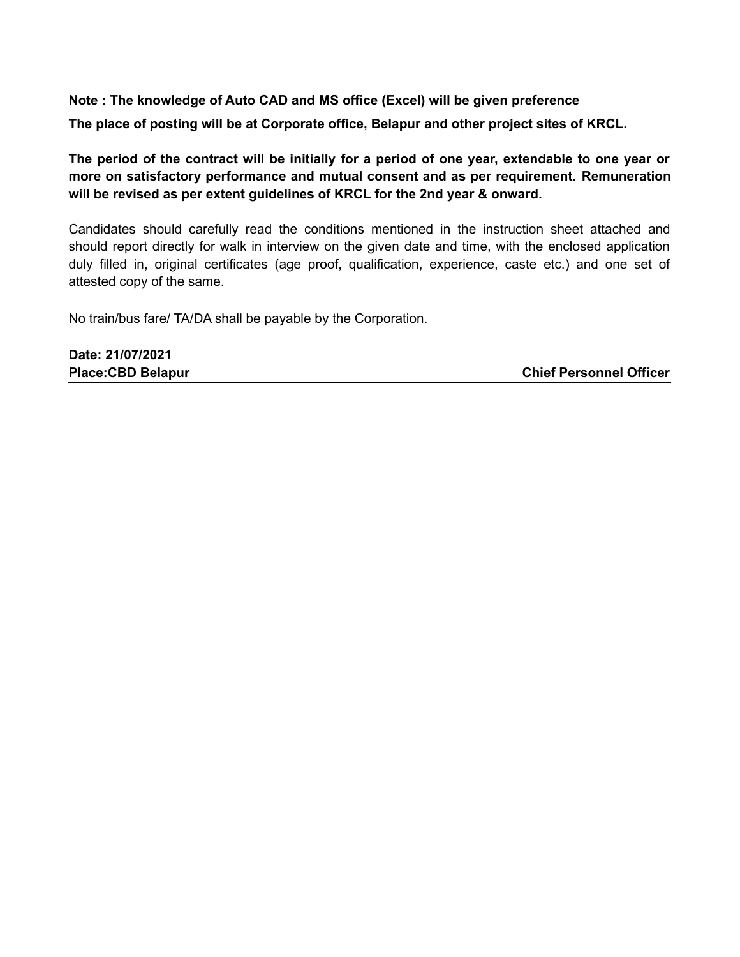**Note : The knowledge of Auto CAD and MS office (Excel) will be given preference The place of posting will be at Corporate office, Belapur and other project sites of KRCL.**

**The period of the contract will be initially for a period of one year, extendable to one year or more on satisfactory performance and mutual consent and as per requirement. Remuneration will be revised as per extent guidelines of KRCL for the 2nd year & onward.**

Candidates should carefully read the conditions mentioned in the instruction sheet attached and should report directly for walk in interview on the given date and time, with the enclosed application duly filled in, original certificates (age proof, qualification, experience, caste etc.) and one set of attested copy of the same.

No train/bus fare/ TA/DA shall be payable by the Corporation.

**Date: 21/07/2021 Place:CBD Belapur Chief Personnel Officer**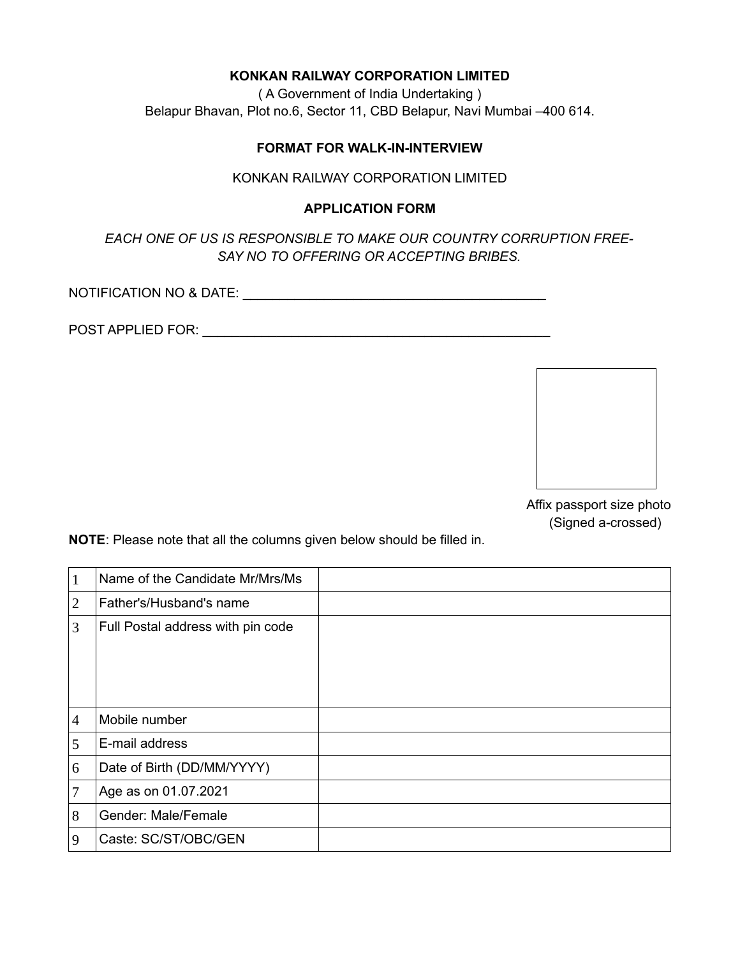### **KONKAN RAILWAY CORPORATION LIMITED**

( A Government of India Undertaking ) Belapur Bhavan, Plot no.6, Sector 11, CBD Belapur, Navi Mumbai –400 614.

### **FORMAT FOR WALK-IN-INTERVIEW**

#### KONKAN RAILWAY CORPORATION LIMITED

### **APPLICATION FORM**

*EACH ONE OF US IS RESPONSIBLE TO MAKE OUR COUNTRY CORRUPTION FREE-SAY NO TO OFFERING OR ACCEPTING BRIBES.*

NOTIFICATION NO & DATE: \_\_\_\_\_\_\_\_\_\_\_\_\_\_\_\_\_\_\_\_\_\_\_\_\_\_\_\_\_\_\_\_\_\_\_\_\_\_\_\_\_

POST APPLIED FOR: \_\_\_\_\_\_\_\_\_\_\_\_\_\_\_\_\_\_\_\_\_\_\_\_\_\_\_\_\_\_\_\_\_\_\_\_\_\_\_\_\_\_\_\_\_\_\_



Affix passport size photo (Signed a-crossed)

**NOTE**: Please note that all the columns given below should be filled in.

| $\vert$ 1      | Name of the Candidate Mr/Mrs/Ms   |  |
|----------------|-----------------------------------|--|
| $\overline{2}$ | Father's/Husband's name           |  |
| 3              | Full Postal address with pin code |  |
| $\overline{4}$ | Mobile number                     |  |
| 5              | E-mail address                    |  |
| 6              | Date of Birth (DD/MM/YYYY)        |  |
| 7              | Age as on 01.07.2021              |  |
| 8              | Gender: Male/Female               |  |
| 9              | Caste: SC/ST/OBC/GEN              |  |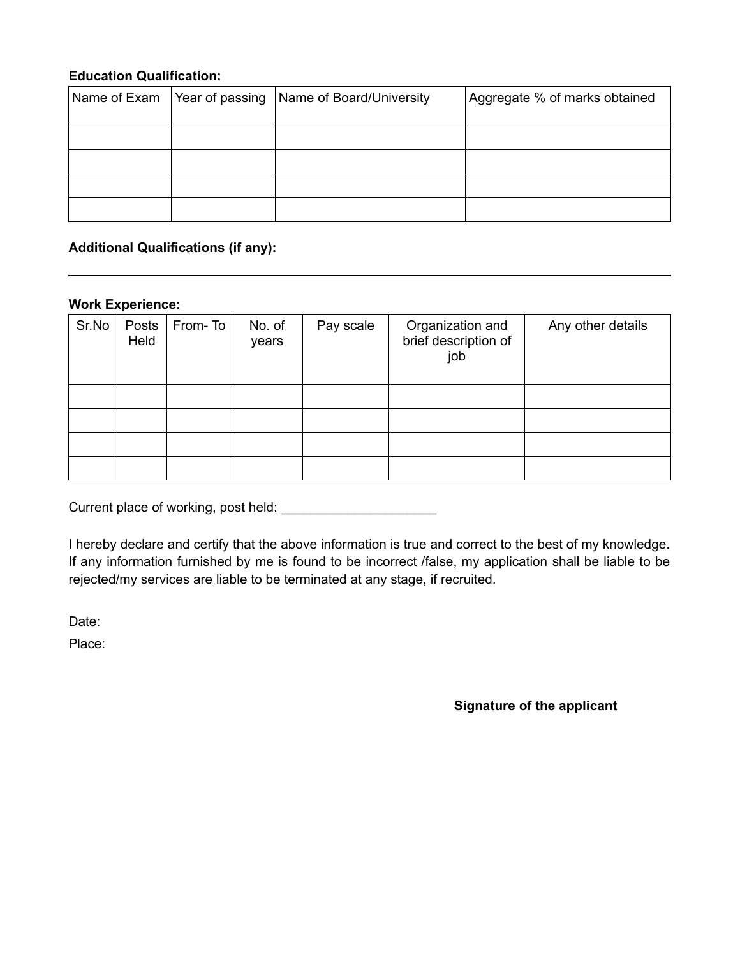### **Education Qualification:**

| Name of Exam   Year of passing | Name of Board/University | Aggregate % of marks obtained |
|--------------------------------|--------------------------|-------------------------------|
|                                |                          |                               |
|                                |                          |                               |
|                                |                          |                               |
|                                |                          |                               |

### **Additional Qualifications (if any):**

#### **Work Experience:**

| Sr.No | Posts<br>Held | From-To | No. of<br>years | Pay scale | Organization and<br>brief description of<br>job | Any other details |
|-------|---------------|---------|-----------------|-----------|-------------------------------------------------|-------------------|
|       |               |         |                 |           |                                                 |                   |
|       |               |         |                 |           |                                                 |                   |
|       |               |         |                 |           |                                                 |                   |
|       |               |         |                 |           |                                                 |                   |

Current place of working, post held: \_\_\_\_\_\_\_\_\_\_\_\_\_\_\_\_\_\_\_\_\_

I hereby declare and certify that the above information is true and correct to the best of my knowledge. If any information furnished by me is found to be incorrect /false, my application shall be liable to be rejected/my services are liable to be terminated at any stage, if recruited.

Date:

Place:

**Signature of the applicant**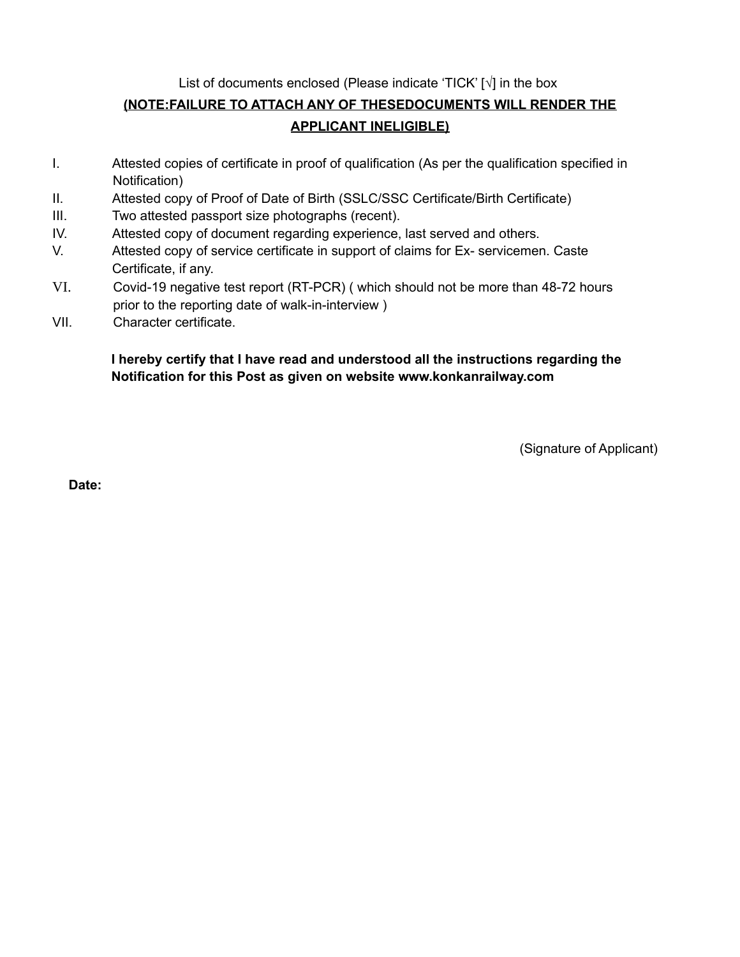List of documents enclosed (Please indicate 'TICK' [**√**] in the box

# **(NOTE:FAILURE TO ATTACH ANY OF THESEDOCUMENTS WILL RENDER THE APPLICANT INELIGIBLE)**

- I. Attested copies of certificate in proof of qualification (As per the qualification specified in Notification)
- II. Attested copy of Proof of Date of Birth (SSLC/SSC Certificate/Birth Certificate)
- III. Two attested passport size photographs (recent).
- IV. Attested copy of document regarding experience, last served and others.
- V. Attested copy of service certificate in support of claims for Ex- servicemen. Caste Certificate, if any.
- VI. Covid-19 negative test report (RT-PCR) ( which should not be more than 48-72 hours prior to the reporting date of walk-in-interview )
- VII. Character certificate.

# **I hereby certify that I have read and understood all the instructions regarding the Notification for this Post as given on website www.konkanrailway.com**

(Signature of Applicant)

**Date:**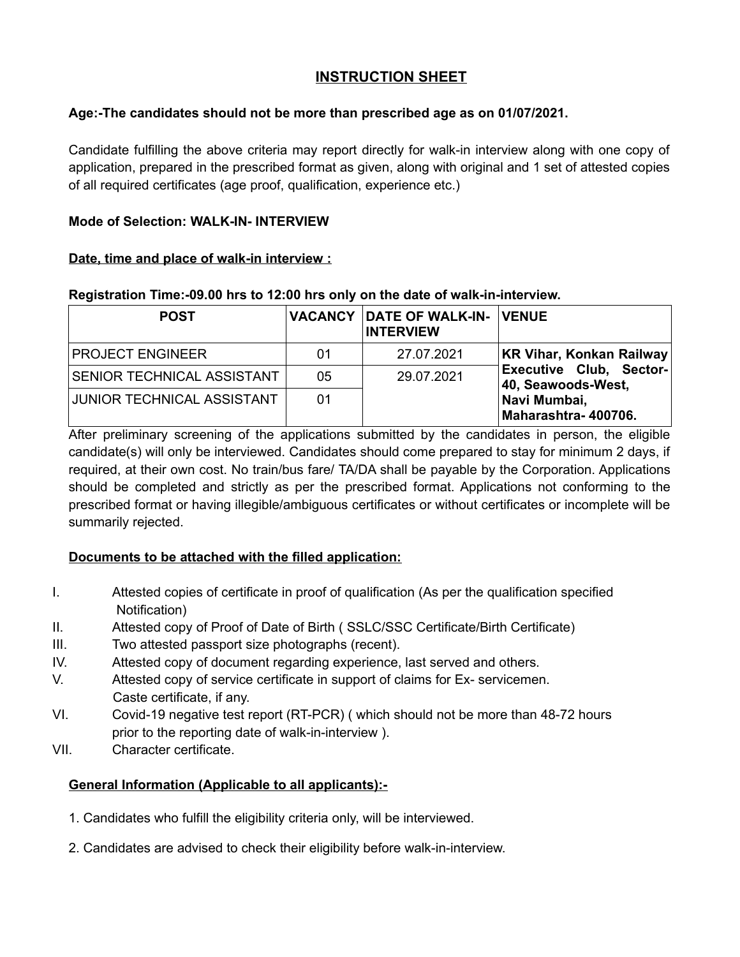# **INSTRUCTION SHEET**

### **Age:-The candidates should not be more than prescribed age as on 01/07/2021.**

Candidate fulfilling the above criteria may report directly for walk-in interview along with one copy of application, prepared in the prescribed format as given, along with original and 1 set of attested copies of all required certificates (age proof, qualification, experience etc.)

### **Mode of Selection: WALK-IN- INTERVIEW**

### **Date, time and place of walk-in interview :**

### **Registration Time:-09.00 hrs to 12:00 hrs only on the date of walk-in-interview.**

| <b>POST</b>                |    | <b>VACANCY DATE OF WALK-IN- VENUE</b><br><b>INTERVIEW</b> |                                                      |
|----------------------------|----|-----------------------------------------------------------|------------------------------------------------------|
| <b>PROJECT ENGINEER</b>    | 01 | 27.07.2021                                                | KR Vihar, Konkan Railway                             |
| SENIOR TECHNICAL ASSISTANT | 05 | 29.07.2021                                                | <b>Executive Club, Sector-</b><br>40, Seawoods-West, |
| JUNIOR TECHNICAL ASSISTANT | 01 |                                                           | Navi Mumbai,<br>Maharashtra-400706.                  |

After preliminary screening of the applications submitted by the candidates in person, the eligible candidate(s) will only be interviewed. Candidates should come prepared to stay for minimum 2 days, if required, at their own cost. No train/bus fare/ TA/DA shall be payable by the Corporation. Applications should be completed and strictly as per the prescribed format. Applications not conforming to the prescribed format or having illegible/ambiguous certificates or without certificates or incomplete will be summarily rejected.

# **Documents to be attached with the filled application:**

- I. Attested copies of certificate in proof of qualification (As per the qualification specified Notification)
- II. Attested copy of Proof of Date of Birth ( SSLC/SSC Certificate/Birth Certificate)
- III. Two attested passport size photographs (recent).
- IV. Attested copy of document regarding experience, last served and others.
- V. Attested copy of service certificate in support of claims for Ex- servicemen. Caste certificate, if any.
- VI. Covid-19 negative test report (RT-PCR) ( which should not be more than 48-72 hours prior to the reporting date of walk-in-interview ).
- VII. Character certificate.

# **General Information (Applicable to all applicants):-**

- 1. Candidates who fulfill the eligibility criteria only, will be interviewed.
- 2. Candidates are advised to check their eligibility before walk-in-interview.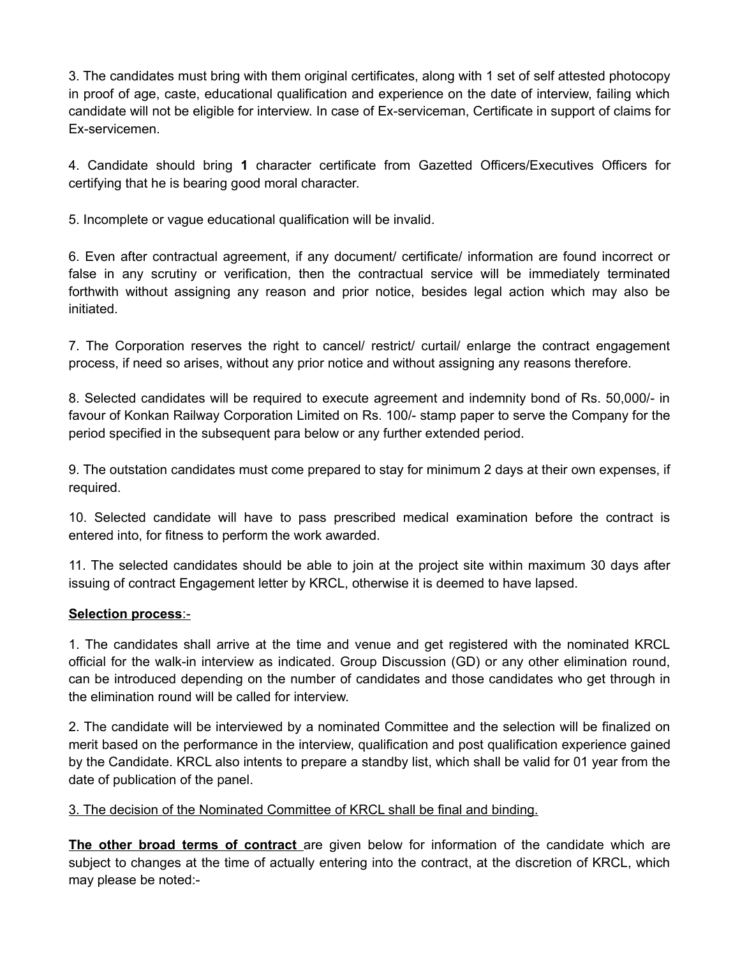3. The candidates must bring with them original certificates, along with 1 set of self attested photocopy in proof of age, caste, educational qualification and experience on the date of interview, failing which candidate will not be eligible for interview. In case of Ex-serviceman, Certificate in support of claims for Ex-servicemen.

4. Candidate should bring **1** character certificate from Gazetted Officers/Executives Officers for certifying that he is bearing good moral character.

5. Incomplete or vague educational qualification will be invalid.

6. Even after contractual agreement, if any document/ certificate/ information are found incorrect or false in any scrutiny or verification, then the contractual service will be immediately terminated forthwith without assigning any reason and prior notice, besides legal action which may also be initiated.

7. The Corporation reserves the right to cancel/ restrict/ curtail/ enlarge the contract engagement process, if need so arises, without any prior notice and without assigning any reasons therefore.

8. Selected candidates will be required to execute agreement and indemnity bond of Rs. 50,000/- in favour of Konkan Railway Corporation Limited on Rs. 100/- stamp paper to serve the Company for the period specified in the subsequent para below or any further extended period.

9. The outstation candidates must come prepared to stay for minimum 2 days at their own expenses, if required.

10. Selected candidate will have to pass prescribed medical examination before the contract is entered into, for fitness to perform the work awarded.

11. The selected candidates should be able to join at the project site within maximum 30 days after issuing of contract Engagement letter by KRCL, otherwise it is deemed to have lapsed.

# **Selection process** :-

1. The candidates shall arrive at the time and venue and get registered with the nominated KRCL official for the walk-in interview as indicated. Group Discussion (GD) or any other elimination round, can be introduced depending on the number of candidates and those candidates who get through in the elimination round will be called for interview.

2. The candidate will be interviewed by a nominated Committee and the selection will be finalized on merit based on the performance in the interview, qualification and post qualification experience gained by the Candidate. KRCL also intents to prepare a standby list, which shall be valid for 01 year from the date of publication of the panel.

3. The decision of the Nominated Committee of KRCL shall be final and binding.

**The other broad terms of contract** are given below for information of the candidate which are subject to changes at the time of actually entering into the contract, at the discretion of KRCL, which may please be noted:-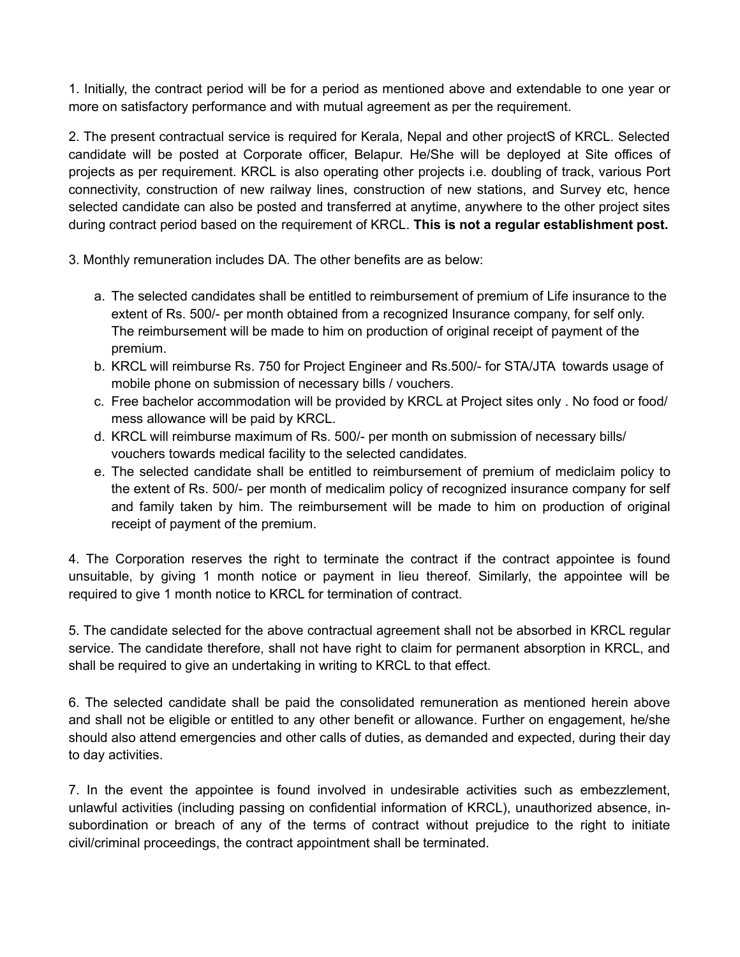1. Initially, the contract period will be for a period as mentioned above and extendable to one year or more on satisfactory performance and with mutual agreement as per the requirement.

2. The present contractual service is required for Kerala, Nepal and other projectS of KRCL. Selected candidate will be posted at Corporate officer, Belapur. He/She will be deployed at Site offices of projects as per requirement. KRCL is also operating other projects i.e. doubling of track, various Port connectivity, construction of new railway lines, construction of new stations, and Survey etc, hence selected candidate can also be posted and transferred at anytime, anywhere to the other project sites during contract period based on the requirement of KRCL. **This is not a regular establishment post.**

3. Monthly remuneration includes DA. The other benefits are as below:

- a. The selected candidates shall be entitled to reimbursement of premium of Life insurance to the extent of Rs. 500/- per month obtained from a recognized Insurance company, for self only. The reimbursement will be made to him on production of original receipt of payment of the premium.
- b. KRCL will reimburse Rs. 750 for Project Engineer and Rs.500/- for STA/JTA towards usage of mobile phone on submission of necessary bills / vouchers.
- c. Free bachelor accommodation will be provided by KRCL at Project sites only . No food or food/ mess allowance will be paid by KRCL.
- d. KRCL will reimburse maximum of Rs. 500/- per month on submission of necessary bills/ vouchers towards medical facility to the selected candidates.
- e. The selected candidate shall be entitled to reimbursement of premium of mediclaim policy to the extent of Rs. 500/- per month of medicalim policy of recognized insurance company for self and family taken by him. The reimbursement will be made to him on production of original receipt of payment of the premium.

4. The Corporation reserves the right to terminate the contract if the contract appointee is found unsuitable, by giving 1 month notice or payment in lieu thereof. Similarly, the appointee will be required to give 1 month notice to KRCL for termination of contract.

5. The candidate selected for the above contractual agreement shall not be absorbed in KRCL regular service. The candidate therefore, shall not have right to claim for permanent absorption in KRCL, and shall be required to give an undertaking in writing to KRCL to that effect.

6. The selected candidate shall be paid the consolidated remuneration as mentioned herein above and shall not be eligible or entitled to any other benefit or allowance. Further on engagement, he/she should also attend emergencies and other calls of duties, as demanded and expected, during their day to day activities.

7. In the event the appointee is found involved in undesirable activities such as embezzlement, unlawful activities (including passing on confidential information of KRCL), unauthorized absence, insubordination or breach of any of the terms of contract without prejudice to the right to initiate civil/criminal proceedings, the contract appointment shall be terminated.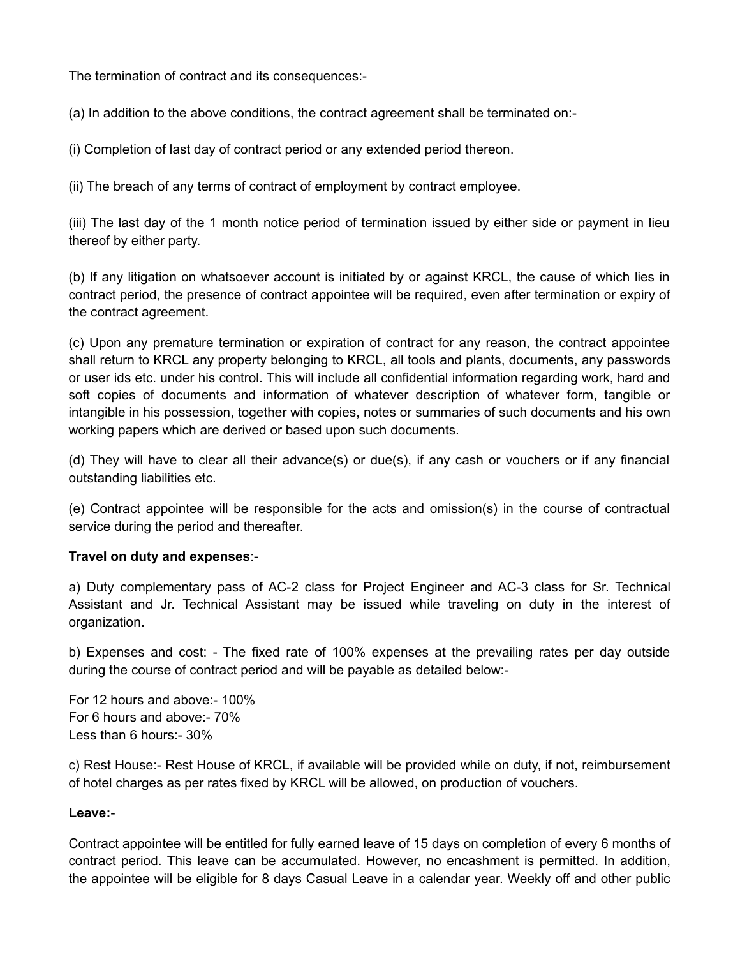The termination of contract and its consequences:-

(a) In addition to the above conditions, the contract agreement shall be terminated on:-

(i) Completion of last day of contract period or any extended period thereon.

(ii) The breach of any terms of contract of employment by contract employee.

(iii) The last day of the 1 month notice period of termination issued by either side or payment in lieu thereof by either party.

(b) If any litigation on whatsoever account is initiated by or against KRCL, the cause of which lies in contract period, the presence of contract appointee will be required, even after termination or expiry of the contract agreement.

(c) Upon any premature termination or expiration of contract for any reason, the contract appointee shall return to KRCL any property belonging to KRCL, all tools and plants, documents, any passwords or user ids etc. under his control. This will include all confidential information regarding work, hard and soft copies of documents and information of whatever description of whatever form, tangible or intangible in his possession, together with copies, notes or summaries of such documents and his own working papers which are derived or based upon such documents.

(d) They will have to clear all their advance(s) or due(s), if any cash or vouchers or if any financial outstanding liabilities etc.

(e) Contract appointee will be responsible for the acts and omission(s) in the course of contractual service during the period and thereafter.

### **Travel on duty and expenses**:-

a) Duty complementary pass of AC-2 class for Project Engineer and AC-3 class for Sr. Technical Assistant and Jr. Technical Assistant may be issued while traveling on duty in the interest of organization.

b) Expenses and cost: - The fixed rate of 100% expenses at the prevailing rates per day outside during the course of contract period and will be payable as detailed below:-

For 12 hours and above:- 100% For 6 hours and above:- 70% Less than 6 hours:- 30%

c) Rest House:- Rest House of KRCL, if available will be provided while on duty, if not, reimbursement of hotel charges as per rates fixed by KRCL will be allowed, on production of vouchers.

### **Leave:** -

Contract appointee will be entitled for fully earned leave of 15 days on completion of every 6 months of contract period. This leave can be accumulated. However, no encashment is permitted. In addition, the appointee will be eligible for 8 days Casual Leave in a calendar year. Weekly off and other public